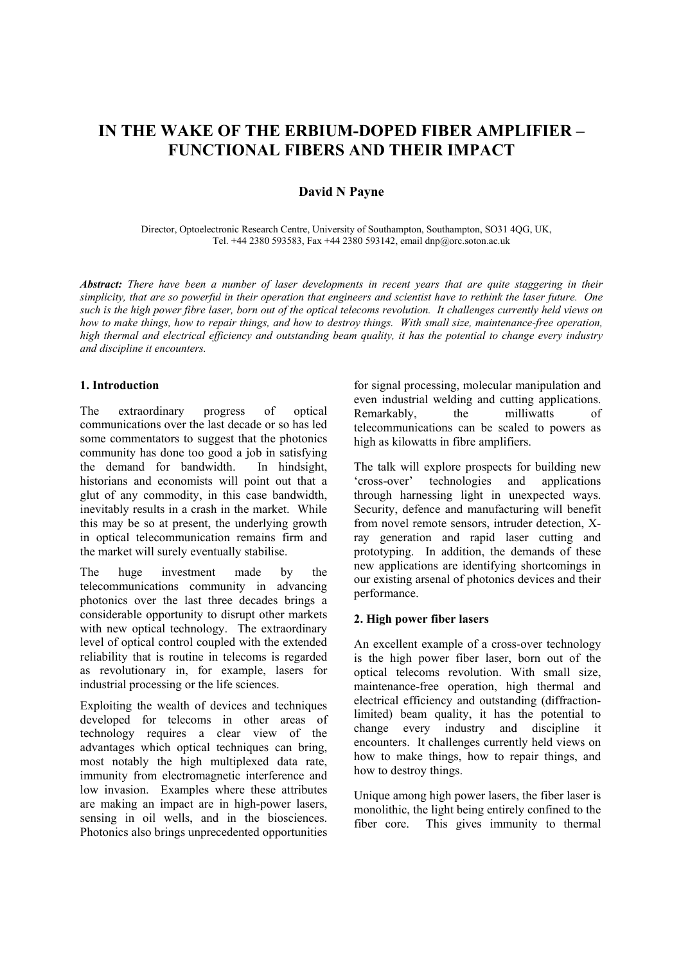# **IN THE WAKE OF THE ERBIUM-DOPED FIBER AMPLIFIER – FUNCTIONAL FIBERS AND THEIR IMPACT**

# **David N Payne**

 Director, Optoelectronic Research Centre, University of Southampton, Southampton, SO31 4QG, UK, Tel. +44 2380 593583, Fax +44 2380 593142, email dnp@orc.soton.ac.uk

*Abstract: There have been a number of laser developments in recent years that are quite staggering in their simplicity, that are so powerful in their operation that engineers and scientist have to rethink the laser future. One such is the high power fibre laser, born out of the optical telecoms revolution. It challenges currently held views on how to make things, how to repair things, and how to destroy things. With small size, maintenance-free operation, high thermal and electrical efficiency and outstanding beam quality, it has the potential to change every industry and discipline it encounters.* 

### **1. Introduction**

The extraordinary progress of optical communications over the last decade or so has led some commentators to suggest that the photonics community has done too good a job in satisfying the demand for bandwidth. In hindsight, historians and economists will point out that a glut of any commodity, in this case bandwidth, inevitably results in a crash in the market. While this may be so at present, the underlying growth in optical telecommunication remains firm and the market will surely eventually stabilise.

The huge investment made by the telecommunications community in advancing photonics over the last three decades brings a considerable opportunity to disrupt other markets with new optical technology. The extraordinary level of optical control coupled with the extended reliability that is routine in telecoms is regarded as revolutionary in, for example, lasers for industrial processing or the life sciences.

Exploiting the wealth of devices and techniques developed for telecoms in other areas of technology requires a clear view of the advantages which optical techniques can bring. most notably the high multiplexed data rate, immunity from electromagnetic interference and low invasion. Examples where these attributes are making an impact are in high-power lasers, sensing in oil wells, and in the biosciences. Photonics also brings unprecedented opportunities

for signal processing, molecular manipulation and even industrial welding and cutting applications. Remarkably, the milliwatts of telecommunications can be scaled to powers as high as kilowatts in fibre amplifiers.

The talk will explore prospects for building new 'cross-over' technologies and applications through harnessing light in unexpected ways. Security, defence and manufacturing will benefit from novel remote sensors, intruder detection, Xray generation and rapid laser cutting and prototyping. In addition, the demands of these new applications are identifying shortcomings in our existing arsenal of photonics devices and their performance.

#### **2. High power fiber lasers**

An excellent example of a cross-over technology is the high power fiber laser, born out of the optical telecoms revolution. With small size, maintenance-free operation, high thermal and electrical efficiency and outstanding (diffractionlimited) beam quality, it has the potential to change every industry and discipline it encounters. It challenges currently held views on how to make things, how to repair things, and how to destroy things.

Unique among high power lasers, the fiber laser is monolithic, the light being entirely confined to the fiber core. This gives immunity to thermal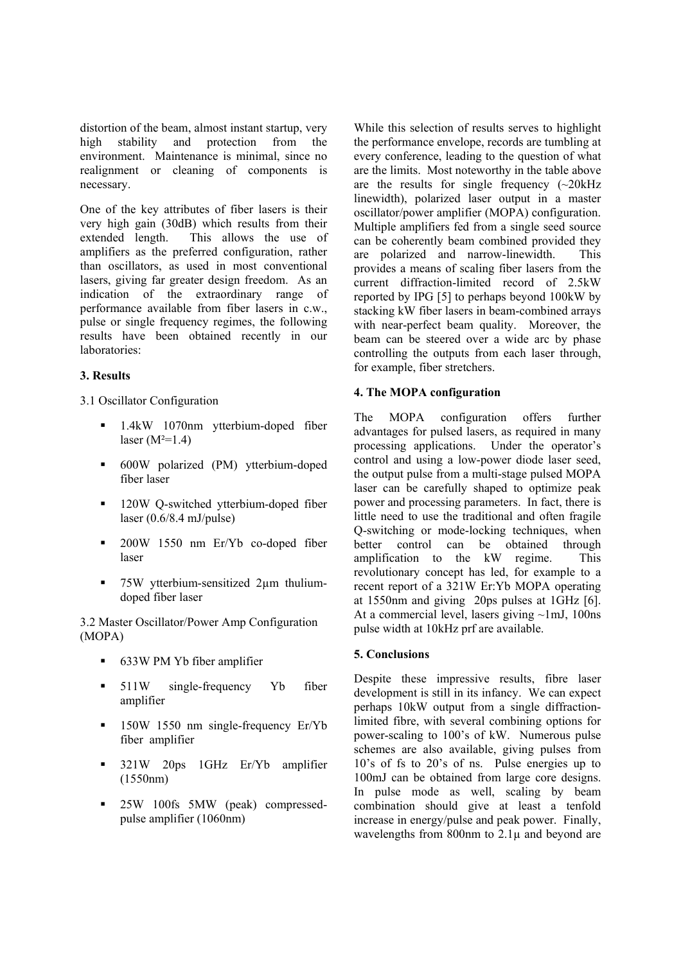distortion of the beam, almost instant startup, very high stability and protection from the environment. Maintenance is minimal, since no realignment or cleaning of components is necessary.

One of the key attributes of fiber lasers is their very high gain (30dB) which results from their extended length. This allows the use of amplifiers as the preferred configuration, rather than oscillators, as used in most conventional lasers, giving far greater design freedom. As an indication of the extraordinary range of performance available from fiber lasers in c.w., pulse or single frequency regimes, the following results have been obtained recently in our laboratories:

## **3. Results**

3.1 Oscillator Configuration

- <sup>1</sup>.4kW 1070nm ytterbium-doped fiber laser  $(M^2=1.4)$
- 600W polarized (PM) ytterbium-doped fiber laser
- <sup>120W</sup> Q-switched ytterbium-doped fiber laser  $(0.6/8.4 \text{ mJ/pulse})$
- 200W 1550 nm Er/Yb co-doped fiber laser
- 75W ytterbium-sensitized 2µm thuliumdoped fiber laser

3.2 Master Oscillator/Power Amp Configuration (MOPA)

- 633W PM Yb fiber amplifier
- 511W single-frequency Yb fiber amplifier
- <sup>150W</sup> 1550 nm single-frequency Er/Yb fiber amplifier
- **321W** 20ps 1GHz Er/Yb amplifier (1550nm)
- **25W 100fs 5MW (peak) compressed**pulse amplifier (1060nm)

While this selection of results serves to highlight the performance envelope, records are tumbling at every conference, leading to the question of what are the limits. Most noteworthy in the table above are the results for single frequency  $(\sim 20kHz)$ linewidth), polarized laser output in a master oscillator/power amplifier (MOPA) configuration. Multiple amplifiers fed from a single seed source can be coherently beam combined provided they are polarized and narrow-linewidth. This provides a means of scaling fiber lasers from the current diffraction-limited record of 2.5kW reported by IPG [5] to perhaps beyond 100kW by stacking kW fiber lasers in beam-combined arrays with near-perfect beam quality. Moreover, the beam can be steered over a wide arc by phase controlling the outputs from each laser through, for example, fiber stretchers.

## **4. The MOPA configuration**

The MOPA configuration offers further advantages for pulsed lasers, as required in many processing applications. Under the operator's control and using a low-power diode laser seed, the output pulse from a multi-stage pulsed MOPA laser can be carefully shaped to optimize peak power and processing parameters. In fact, there is little need to use the traditional and often fragile Q-switching or mode-locking techniques, when better control can be obtained through amplification to the kW regime. This revolutionary concept has led, for example to a recent report of a 321W Er:Yb MOPA operating at 1550nm and giving 20ps pulses at 1GHz [6]. At a commercial level, lasers giving  $\sim$ 1mJ, 100ns pulse width at 10kHz prf are available.

## **5. Conclusions**

Despite these impressive results, fibre laser development is still in its infancy. We can expect perhaps 10kW output from a single diffractionlimited fibre, with several combining options for power-scaling to 100's of kW. Numerous pulse schemes are also available, giving pulses from 10's of fs to 20's of ns. Pulse energies up to 100mJ can be obtained from large core designs. In pulse mode as well, scaling by beam combination should give at least a tenfold increase in energy/pulse and peak power. Finally, wavelengths from 800nm to 2.1 $\mu$  and beyond are